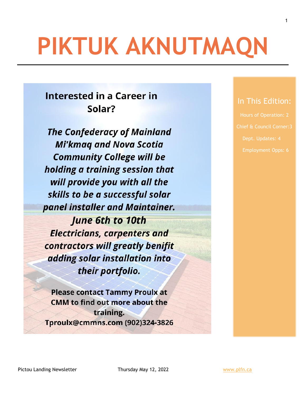# **PIKTUK AKNUTMAQN**

# **Interested in a Career in** Solar?

**The Confederacy of Mainland Mi'kmaq and Nova Scotia Community College will be** holding a training session that will provide you with all the skills to be a successful solar panel installer and Maintainer. **June 6th to 10th Electricians, carpenters and** 

contractors will greatly benifit adding solar installation into their portfolio.

**Please contact Tammy Proulx at CMM** to find out more about the training. Tproulx@cmmns.com (902)324-3826

# In This Edition:

1

Hours of Operation: 2 Dept. Updates: 4

Pictou Landing Newsletter Thursday May 12, 2022 Www.plfn.ca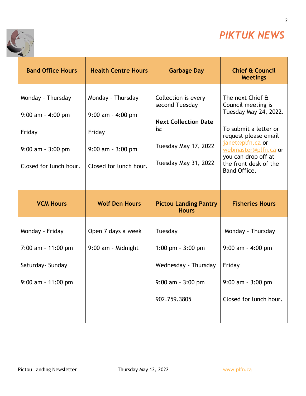

2

٦



| <b>Band Office Hours</b>                                                                              | <b>Health Centre Hours</b>                                                                            | <b>Garbage Day</b>                                                                                                          | <b>Chief &amp; Council</b><br><b>Meetings</b>                                                                                                                                                                                |
|-------------------------------------------------------------------------------------------------------|-------------------------------------------------------------------------------------------------------|-----------------------------------------------------------------------------------------------------------------------------|------------------------------------------------------------------------------------------------------------------------------------------------------------------------------------------------------------------------------|
| Monday - Thursday<br>$9:00$ am - 4:00 pm<br>Friday<br>$9:00$ am - $3:00$ pm<br>Closed for lunch hour. | Monday - Thursday<br>$9:00$ am - 4:00 pm<br>Friday<br>$9:00$ am - $3:00$ pm<br>Closed for lunch hour. | Collection is every<br>second Tuesday<br><b>Next Collection Date</b><br>is:<br>Tuesday May 17, 2022<br>Tuesday May 31, 2022 | The next Chief &<br>Council meeting is<br>Tuesday May 24, 2022.<br>To submit a letter or<br>request please email<br>janet@plfn.ca or<br>webmaster@plfn.ca or<br>you can drop off at<br>the front desk of the<br>Band Office. |
| <b>VCM Hours</b>                                                                                      | <b>Wolf Den Hours</b>                                                                                 | <b>Pictou Landing Pantry</b><br><b>Hours</b>                                                                                | <b>Fisheries Hours</b>                                                                                                                                                                                                       |
|                                                                                                       |                                                                                                       |                                                                                                                             |                                                                                                                                                                                                                              |
| Monday - Friday                                                                                       | Open 7 days a week                                                                                    | Tuesday                                                                                                                     | Monday - Thursday                                                                                                                                                                                                            |
| $7:00$ am - 11:00 pm                                                                                  | 9:00 am - Midnight                                                                                    | 1:00 pm $-3:00$ pm                                                                                                          | $9:00$ am - 4:00 pm                                                                                                                                                                                                          |
| Saturday- Sunday                                                                                      |                                                                                                       | Wednesday - Thursday                                                                                                        | Friday                                                                                                                                                                                                                       |
| 9:00 am - 11:00 pm                                                                                    |                                                                                                       | $9:00$ am - $3:00$ pm                                                                                                       | $9:00$ am - $3:00$ pm                                                                                                                                                                                                        |

T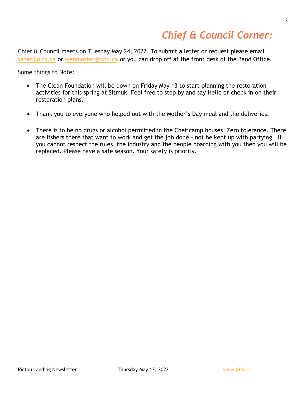# *Chief & Council Corner:*

Chief & Council meets on Tuesday May 24, 2022. To submit a letter or request please email [janet@plfn.ca](mailto:janet@plfn.ca) or [webmaster@plfn.ca](mailto:webmaster@plfn.ca) or you can drop off at the front desk of the Band Office.

Some things to Note:

- The Clean Foundation will be down on Friday May 13 to start planning the restoration activities for this spring at Sitmuk. Feel free to stop by and say Hello or check in on their restoration plans.
- Thank you to everyone who helped out with the Mother's Day meal and the deliveries.
- There is to be no drugs or alcohol permitted in the Cheticamp houses. Zero tolerance. There are fishers there that want to work and get the job done - not be kept up with partying. If you cannot respect the rules, the industry and the people boarding with you then you will be replaced. Please have a safe season. Your safety is priority.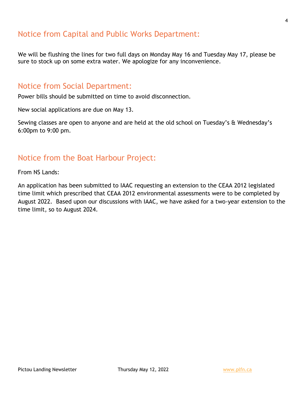# Notice from Capital and Public Works Department:

We will be flushing the lines for two full days on Monday May 16 and Tuesday May 17, please be sure to stock up on some extra water. We apologize for any inconvenience.

### Notice from Social Department:

Power bills should be submitted on time to avoid disconnection.

New social applications are due on May 13.

Sewing classes are open to anyone and are held at the old school on Tuesday's & Wednesday's 6:00pm to 9:00 pm.

# Notice from the Boat Harbour Project:

From NS Lands:

An application has been submitted to IAAC requesting an extension to the CEAA 2012 legislated time limit which prescribed that CEAA 2012 environmental assessments were to be completed by August 2022. Based upon our discussions with IAAC, we have asked for a two-year extension to the time limit, so to August 2024.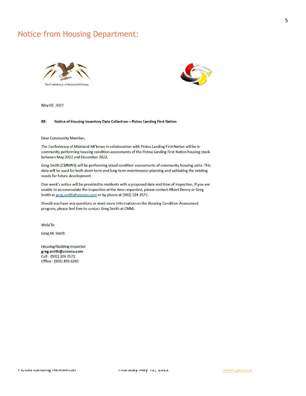# Notice from Housing Department:





May 02, 2022

#### Notice of Housing Inventory Data Collection - Pictou Landing First Nation RE:

Dear Community Member,

The Confederacy of Mainland Mi'kmaq in collaboration with Pictou Landing First Nation will be in community performing housing condition assessments of the Pictou Landing First Nation housing stock between May 2022 and December 2022.

Greg Smith (CMMNS) will be performing visual condition assessments of community housing units. This data will be used for both short-term and long-term maintenance planning and validating the existing needs for future development.

One week's notice will be provided to residents with a proposed date and time of inspection. If you are unable to accommodate the inspection at the time requested, please contact Albert Denny or Greg Smith at greg.smith@cmmns.com or by phone at (902) 324-2571.

Should you have any questions or want more information on the Housing Condition Assessment program, please feel free to contact Greg Smith at CMM.

Wela'lin

Greg M. Smith

**Housing/Building Inspector** greg.smith@cmmns.com Cell - (902) 324 2571 Office - (902) 895 6385